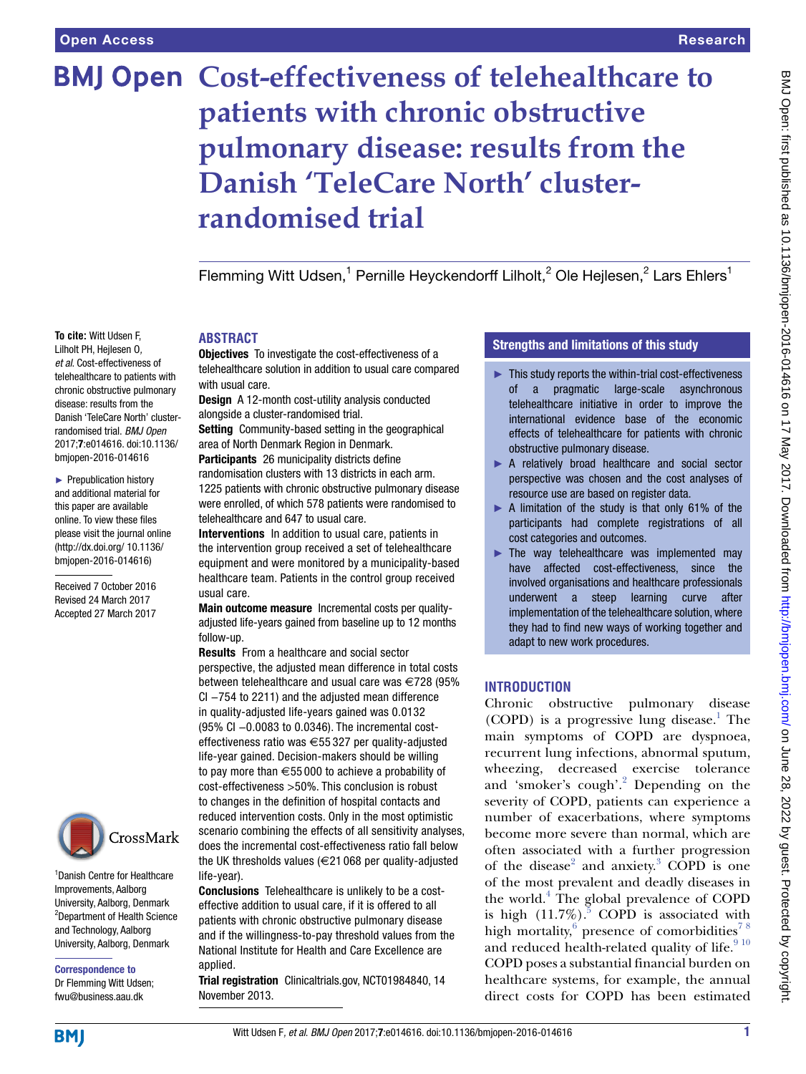# **BMJ Open Cost-effectiveness of telehealthcare to patients with chronic obstructive pulmonary disease: results from the Danish 'TeleCare North' clusterrandomised trial**

Flemming Witt Udsen,<sup>1</sup> Pernille Heyckendorff Lilholt,<sup>2</sup> Ole Hejlesen,<sup>2</sup> Lars Ehlers<sup>1</sup>

#### **To cite:** Witt Udsen F, Lilholt PH, Hejlesen O*, et al*. Cost-effectiveness of telehealthcare to patients with chronic obstructive pulmonary disease: results from the Danish 'TeleCare North' clusterrandomised trial. *BMJ Open* 2017;7:e014616. doi:10.1136/ bmjopen-2016-014616

► Prepublication history and additional material for this paper are available online. To view these files please visit the journal online [\(http://dx.doi.org/ 10.1136/](http://dx.doi.org/ 10.1136/bmjopen-2016-014616) [bmjopen-2016-014616](http://dx.doi.org/ 10.1136/bmjopen-2016-014616))

Received 7 October 2016 Revised 24 March 2017 Accepted 27 March 2017



1 Danish Centre for Healthcare Improvements, Aalborg University, Aalborg, Denmark 2 Department of Health Science and Technology, Aalborg University, Aalborg, Denmark

Correspondence to Dr Flemming Witt Udsen; fwu@business.aau.dk

# **ABSTRACT**

**Objectives** To investigate the cost-effectiveness of a telehealthcare solution in addition to usual care compared with usual care.

Design A 12-month cost-utility analysis conducted alongside a cluster-randomised trial.

Setting Community-based setting in the geographical area of North Denmark Region in Denmark.

Participants 26 municipality districts define randomisation clusters with 13 districts in each arm. 1225 patients with chronic obstructive pulmonary disease were enrolled, of which 578 patients were randomised to telehealthcare and 647 to usual care.

Interventions In addition to usual care, patients in the intervention group received a set of telehealthcare equipment and were monitored by a municipality-based healthcare team. Patients in the control group received usual care.

Main outcome measure Incremental costs per qualityadjusted life-years gained from baseline up to 12 months follow-up.

Results From a healthcare and social sector perspective, the adjusted mean difference in total costs between telehealthcare and usual care was €728 (95% CI −754 to 2211) and the adjusted mean difference in quality-adjusted life-years gained was 0.0132 (95% CI −0.0083 to 0.0346). The incremental costeffectiveness ratio was €55 327 per quality-adjusted life-year gained. Decision-makers should be willing to pay more than  $\epsilon$ 55 000 to achieve a probability of cost-effectiveness >50%. This conclusion is robust to changes in the definition of hospital contacts and reduced intervention costs. Only in the most optimistic scenario combining the effects of all sensitivity analyses, does the incremental cost-effectiveness ratio fall below the UK thresholds values (€21 068 per quality-adjusted life-year).

Conclusions Telehealthcare is unlikely to be a costeffective addition to usual care, if it is offered to all patients with chronic obstructive pulmonary disease and if the willingness-to-pay threshold values from the National Institute for Health and Care Excellence are applied.

Trial registration Clinicaltrials.gov, NCT01984840, 14 November 2013.

## Strengths and limitations of this study

- ► This study reports the within-trial cost-effectiveness of a pragmatic large-scale asynchronous telehealthcare initiative in order to improve the international evidence base of the economic effects of telehealthcare for patients with chronic obstructive pulmonary disease.
- ▶ A relatively broad healthcare and social sector perspective was chosen and the cost analyses of resource use are based on register data.
- ► A limitation of the study is that only 61% of the participants had complete registrations of all cost categories and outcomes.
- $\blacktriangleright$  The way telehealthcare was implemented may have affected cost-effectiveness, since the involved organisations and healthcare professionals underwent a steep learning curve after implementation of the telehealthcare solution, where they had to find new ways of working together and adapt to new work procedures.

# **INTRODUCTION**

Chronic obstructive pulmonary disease (COPD) is a progressive lung disease.<sup>1</sup> The main symptoms of COPD are dyspnoea, recurrent lung infections, abnormal sputum, wheezing, decreased exercise tolerance and 'smoker's cough'.<sup>[2](#page-10-1)</sup> Depending on the severity of COPD, patients can experience a number of exacerbations, where symptoms become more severe than normal, which are often associated with a further progression of the disease<sup>[2](#page-10-1)</sup> and anxiety.<sup>[3](#page-10-2)</sup> COPD is one of the most prevalent and deadly diseases in the world.<sup>[4](#page-10-3)</sup> The global prevalence of COPD is high  $(11.7\%)$ .<sup>[5](#page-11-0)</sup> COPD is associated with high mortality, presence of comorbidities<sup>78</sup> and reduced health-related quality of life.  $\real^{9\,10}$ COPD poses a substantial financial burden on healthcare systems, for example, the annual direct costs for COPD has been estimated

**BMI**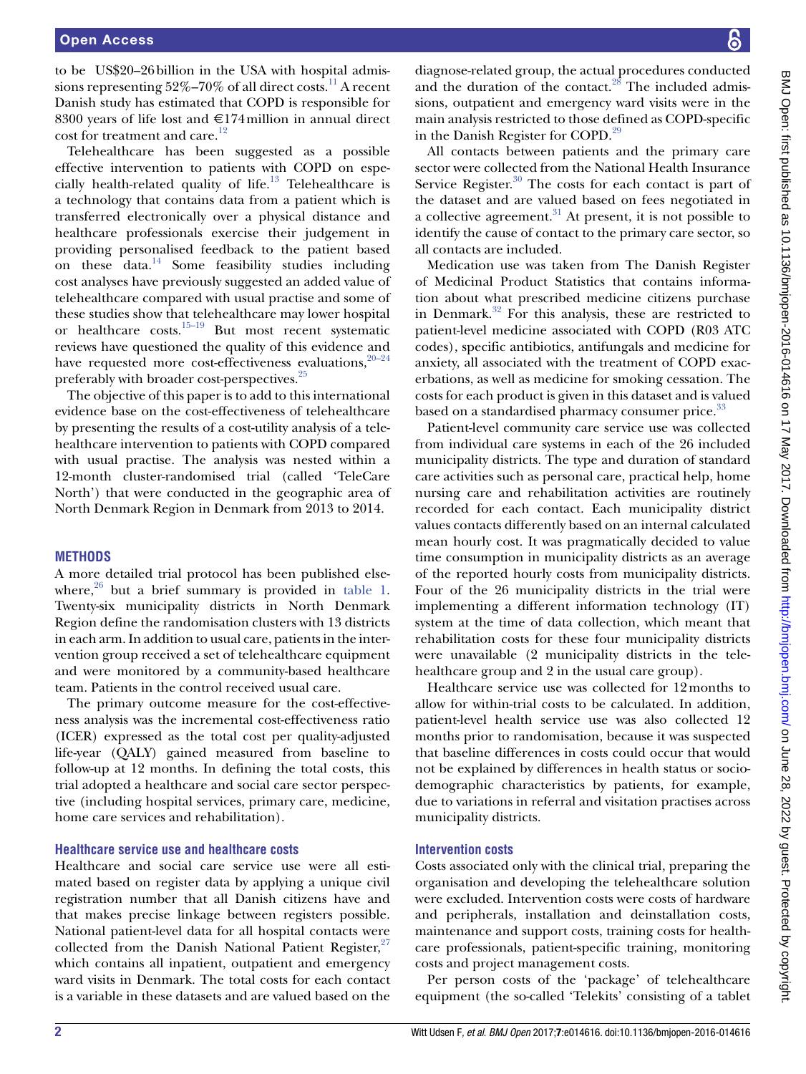to be US\$20–26billion in the USA with hospital admissions representing  $52\% - 70\%$  of all direct costs.<sup>11</sup> A recent Danish study has estimated that COPD is responsible for 8300 years of life lost and €174million in annual direct cost for treatment and care.<sup>12</sup>

Telehealthcare has been suggested as a possible effective intervention to patients with COPD on espe-cially health-related quality of life.<sup>[13](#page-11-6)</sup> Telehealthcare is a technology that contains data from a patient which is transferred electronically over a physical distance and healthcare professionals exercise their judgement in providing personalised feedback to the patient based on these data. $14$  Some feasibility studies including cost analyses have previously suggested an added value of telehealthcare compared with usual practise and some of these studies show that telehealthcare may lower hospital or healthcare  $costs$ <sup>[15–19](#page-11-8)</sup> But most recent systematic reviews have questioned the quality of this evidence and have requested more cost-effectiveness evaluations,  $20-24$ preferably with broader cost-perspectives.<sup>25</sup>

The objective of this paper is to add to this international evidence base on the cost-effectiveness of telehealthcare by presenting the results of a cost-utility analysis of a telehealthcare intervention to patients with COPD compared with usual practise. The analysis was nested within a 12-month cluster-randomised trial (called 'TeleCare North') that were conducted in the geographic area of North Denmark Region in Denmark from 2013 to 2014.

#### **METHODS**

A more detailed trial protocol has been published elsewhere, $26$  but a brief summary is provided in [table](#page-2-0) 1. Twenty-six municipality districts in North Denmark Region define the randomisation clusters with 13 districts in each arm. In addition to usual care, patients in the intervention group received a set of telehealthcare equipment and were monitored by a community-based healthcare team. Patients in the control received usual care.

The primary outcome measure for the cost-effectiveness analysis was the incremental cost-effectiveness ratio (ICER) expressed as the total cost per quality-adjusted life-year (QALY) gained measured from baseline to follow-up at 12 months. In defining the total costs, this trial adopted a healthcare and social care sector perspective (including hospital services, primary care, medicine, home care services and rehabilitation).

#### **Healthcare service use and healthcare costs**

Healthcare and social care service use were all estimated based on register data by applying a unique civil registration number that all Danish citizens have and that makes precise linkage between registers possible. National patient-level data for all hospital contacts were collected from the Danish National Patient Register,  $27$ which contains all inpatient, outpatient and emergency ward visits in Denmark. The total costs for each contact is a variable in these datasets and are valued based on the

diagnose-related group, the actual procedures conducted and the duration of the contact. $28$  The included admissions, outpatient and emergency ward visits were in the main analysis restricted to those defined as COPD-specific in the Danish Register for COPD.<sup>29</sup>

All contacts between patients and the primary care sector were collected from the National Health Insurance Service Register. $30$  The costs for each contact is part of the dataset and are valued based on fees negotiated in a collective agreement. $31$  At present, it is not possible to identify the cause of contact to the primary care sector, so all contacts are included.

Medication use was taken from The Danish Register of Medicinal Product Statistics that contains information about what prescribed medicine citizens purchase in Denmark. $32$  For this analysis, these are restricted to patient-level medicine associated with COPD (R03 ATC codes), specific antibiotics, antifungals and medicine for anxiety, all associated with the treatment of COPD exacerbations, as well as medicine for smoking cessation. The costs for each product is given in this dataset and is valued based on a standardised pharmacy consumer price.<sup>[33](#page-11-18)</sup>

Patient-level community care service use was collected from individual care systems in each of the 26 included municipality districts. The type and duration of standard care activities such as personal care, practical help, home nursing care and rehabilitation activities are routinely recorded for each contact. Each municipality district values contacts differently based on an internal calculated mean hourly cost. It was pragmatically decided to value time consumption in municipality districts as an average of the reported hourly costs from municipality districts. Four of the 26 municipality districts in the trial were implementing a different information technology (IT) system at the time of data collection, which meant that rehabilitation costs for these four municipality districts were unavailable (2 municipality districts in the telehealthcare group and 2 in the usual care group).

Healthcare service use was collected for 12months to allow for within-trial costs to be calculated. In addition, patient-level health service use was also collected 12 months prior to randomisation, because it was suspected that baseline differences in costs could occur that would not be explained by differences in health status or sociodemographic characteristics by patients, for example, due to variations in referral and visitation practises across municipality districts.

## **Intervention costs**

Costs associated only with the clinical trial, preparing the organisation and developing the telehealthcare solution were excluded. Intervention costs were costs of hardware and peripherals, installation and deinstallation costs, maintenance and support costs, training costs for healthcare professionals, patient-specific training, monitoring costs and project management costs.

Per person costs of the 'package' of telehealthcare equipment (the so-called 'Telekits' consisting of a tablet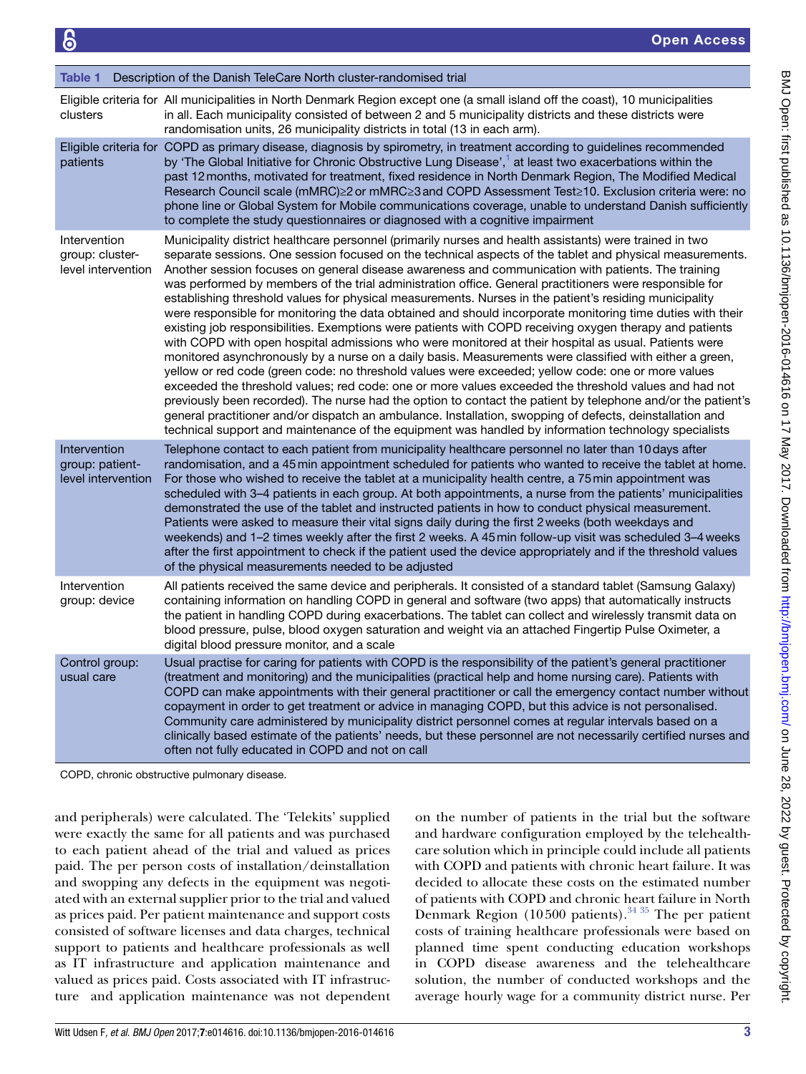<span id="page-2-0"></span>

| Table 1                                               | Description of the Danish TeleCare North cluster-randomised trial                                                                                                                                                                                                                                                                                                                                                                                                                                                                                                                                                                                                                                                                                                                                                                                                                                                                                                                                                                                                                                                                                                                                                                                                                                                                                                                                                                                                                                                                             |
|-------------------------------------------------------|-----------------------------------------------------------------------------------------------------------------------------------------------------------------------------------------------------------------------------------------------------------------------------------------------------------------------------------------------------------------------------------------------------------------------------------------------------------------------------------------------------------------------------------------------------------------------------------------------------------------------------------------------------------------------------------------------------------------------------------------------------------------------------------------------------------------------------------------------------------------------------------------------------------------------------------------------------------------------------------------------------------------------------------------------------------------------------------------------------------------------------------------------------------------------------------------------------------------------------------------------------------------------------------------------------------------------------------------------------------------------------------------------------------------------------------------------------------------------------------------------------------------------------------------------|
| clusters                                              | Eligible criteria for All municipalities in North Denmark Region except one (a small island off the coast), 10 municipalities<br>in all. Each municipality consisted of between 2 and 5 municipality districts and these districts were<br>randomisation units, 26 municipality districts in total (13 in each arm).                                                                                                                                                                                                                                                                                                                                                                                                                                                                                                                                                                                                                                                                                                                                                                                                                                                                                                                                                                                                                                                                                                                                                                                                                          |
| patients                                              | Eligible criteria for COPD as primary disease, diagnosis by spirometry, in treatment according to guidelines recommended<br>by 'The Global Initiative for Chronic Obstructive Lung Disease', <sup>1</sup> at least two exacerbations within the<br>past 12 months, motivated for treatment, fixed residence in North Denmark Region, The Modified Medical<br>Research Council scale (mMRC)≥2 or mMRC≥3 and COPD Assessment Test≥10. Exclusion criteria were: no<br>phone line or Global System for Mobile communications coverage, unable to understand Danish sufficiently<br>to complete the study questionnaires or diagnosed with a cognitive impairment                                                                                                                                                                                                                                                                                                                                                                                                                                                                                                                                                                                                                                                                                                                                                                                                                                                                                  |
| Intervention<br>group: cluster-<br>level intervention | Municipality district healthcare personnel (primarily nurses and health assistants) were trained in two<br>separate sessions. One session focused on the technical aspects of the tablet and physical measurements.<br>Another session focuses on general disease awareness and communication with patients. The training<br>was performed by members of the trial administration office. General practitioners were responsible for<br>establishing threshold values for physical measurements. Nurses in the patient's residing municipality<br>were responsible for monitoring the data obtained and should incorporate monitoring time duties with their<br>existing job responsibilities. Exemptions were patients with COPD receiving oxygen therapy and patients<br>with COPD with open hospital admissions who were monitored at their hospital as usual. Patients were<br>monitored asynchronously by a nurse on a daily basis. Measurements were classified with either a green,<br>yellow or red code (green code: no threshold values were exceeded; yellow code: one or more values<br>exceeded the threshold values; red code: one or more values exceeded the threshold values and had not<br>previously been recorded). The nurse had the option to contact the patient by telephone and/or the patient's<br>general practitioner and/or dispatch an ambulance. Installation, swopping of defects, deinstallation and<br>technical support and maintenance of the equipment was handled by information technology specialists |
| Intervention<br>group: patient-<br>level intervention | Telephone contact to each patient from municipality healthcare personnel no later than 10 days after<br>randomisation, and a 45 min appointment scheduled for patients who wanted to receive the tablet at home.<br>For those who wished to receive the tablet at a municipality health centre, a 75 min appointment was<br>scheduled with 3–4 patients in each group. At both appointments, a nurse from the patients' municipalities<br>demonstrated the use of the tablet and instructed patients in how to conduct physical measurement.<br>Patients were asked to measure their vital signs daily during the first 2 weeks (both weekdays and<br>weekends) and 1-2 times weekly after the first 2 weeks. A 45 min follow-up visit was scheduled 3-4 weeks<br>after the first appointment to check if the patient used the device appropriately and if the threshold values<br>of the physical measurements needed to be adjusted                                                                                                                                                                                                                                                                                                                                                                                                                                                                                                                                                                                                         |
| Intervention<br>group: device                         | All patients received the same device and peripherals. It consisted of a standard tablet (Samsung Galaxy)<br>containing information on handling COPD in general and software (two apps) that automatically instructs<br>the patient in handling COPD during exacerbations. The tablet can collect and wirelessly transmit data on<br>blood pressure, pulse, blood oxygen saturation and weight via an attached Fingertip Pulse Oximeter, a<br>digital blood pressure monitor, and a scale                                                                                                                                                                                                                                                                                                                                                                                                                                                                                                                                                                                                                                                                                                                                                                                                                                                                                                                                                                                                                                                     |
| Control group:<br>usual care                          | Usual practise for caring for patients with COPD is the responsibility of the patient's general practitioner<br>(treatment and monitoring) and the municipalities (practical help and home nursing care). Patients with<br>COPD can make appointments with their general practitioner or call the emergency contact number without<br>copayment in order to get treatment or advice in managing COPD, but this advice is not personalised.<br>Community care administered by municipality district personnel comes at regular intervals based on a<br>clinically based estimate of the patients' needs, but these personnel are not necessarily certified nurses and<br>often not fully educated in COPD and not on call                                                                                                                                                                                                                                                                                                                                                                                                                                                                                                                                                                                                                                                                                                                                                                                                                      |

COPD, chronic obstructive pulmonary disease.

and peripherals) were calculated. The 'Telekits' supplied were exactly the same for all patients and was purchased to each patient ahead of the trial and valued as prices paid. The per person costs of installation/deinstallation and swopping any defects in the equipment was negotiated with an external supplier prior to the trial and valued as prices paid. Per patient maintenance and support costs consisted of software licenses and data charges, technical support to patients and healthcare professionals as well as IT infrastructure and application maintenance and valued as prices paid. Costs associated with IT infrastructure and application maintenance was not dependent

on the number of patients in the trial but the software and hardware configuration employed by the telehealthcare solution which in principle could include all patients with COPD and patients with chronic heart failure. It was decided to allocate these costs on the estimated number of patients with COPD and chronic heart failure in North Denmark Region (10500 patients).<sup>[34 35](#page-11-19)</sup> The per patient costs of training healthcare professionals were based on planned time spent conducting education workshops in COPD disease awareness and the telehealthcare solution, the number of conducted workshops and the average hourly wage for a community district nurse. Per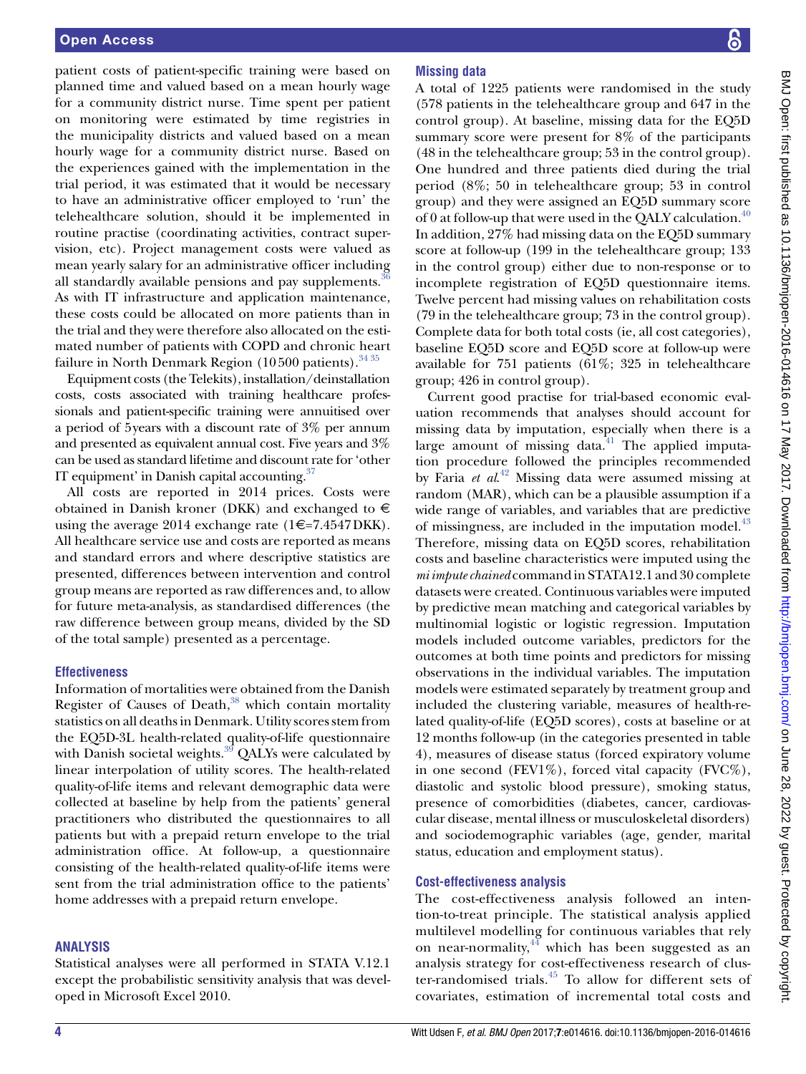patient costs of patient-specific training were based on planned time and valued based on a mean hourly wage for a community district nurse. Time spent per patient on monitoring were estimated by time registries in the municipality districts and valued based on a mean hourly wage for a community district nurse. Based on the experiences gained with the implementation in the trial period, it was estimated that it would be necessary to have an administrative officer employed to 'run' the telehealthcare solution, should it be implemented in routine practise (coordinating activities, contract supervision, etc). Project management costs were valued as mean yearly salary for an administrative officer including all standardly available pensions and pay supplements.<sup>3</sup> As with IT infrastructure and application maintenance, these costs could be allocated on more patients than in the trial and they were therefore also allocated on the estimated number of patients with COPD and chronic heart failure in North Denmark Region (10500 patients).  $3435$ 

Equipment costs (the Telekits), installation/deinstallation costs, costs associated with training healthcare professionals and patient-specific training were annuitised over a period of 5years with a discount rate of 3% per annum and presented as equivalent annual cost. Five years and 3% can be used as standard lifetime and discount rate for 'other IT equipment' in Danish capital accounting. $37$ 

All costs are reported in 2014 prices. Costs were obtained in Danish kroner (DKK) and exchanged to  $\in$ using the average 2014 exchange rate  $(1 \in 7.4547 \text{DKK})$ . All healthcare service use and costs are reported as means and standard errors and where descriptive statistics are presented, differences between intervention and control group means are reported as raw differences and, to allow for future meta-analysis, as standardised differences (the raw difference between group means, divided by the SD of the total sample) presented as a percentage.

## **Effectiveness**

Information of mortalities were obtained from the Danish Register of Causes of Death, $38$  which contain mortality statistics on all deaths in Denmark. Utility scores stem from the EQ5D-3L health-related quality-of-life questionnaire with Danish societal weights. $39$  QALYs were calculated by linear interpolation of utility scores. The health-related quality-of-life items and relevant demographic data were collected at baseline by help from the patients' general practitioners who distributed the questionnaires to all patients but with a prepaid return envelope to the trial administration office. At follow-up, a questionnaire consisting of the health-related quality-of-life items were sent from the trial administration office to the patients' home addresses with a prepaid return envelope.

#### **ANALYSIS**

Statistical analyses were all performed in STATA V.12.1 except the probabilistic sensitivity analysis that was developed in Microsoft Excel 2010.

# **Missing data**

A total of 1225 patients were randomised in the study (578 patients in the telehealthcare group and 647 in the control group). At baseline, missing data for the EQ5D summary score were present for 8% of the participants (48 in the telehealthcare group; 53 in the control group). One hundred and three patients died during the trial period (8%; 50 in telehealthcare group; 53 in control group) and they were assigned an EQ5D summary score of 0 at follow-up that were used in the QALY calculation.<sup>40</sup> In addition, 27% had missing data on the EQ5D summary score at follow-up (199 in the telehealthcare group; 133 in the control group) either due to non-response or to incomplete registration of EQ5D questionnaire items. Twelve percent had missing values on rehabilitation costs (79 in the telehealthcare group; 73 in the control group). Complete data for both total costs (ie, all cost categories), baseline EQ5D score and EQ5D score at follow-up were available for 751 patients (61%; 325 in telehealthcare group; 426 in control group).

Current good practise for trial-based economic evaluation recommends that analyses should account for missing data by imputation, especially when there is a large amount of missing data. $41$  The applied imputation procedure followed the principles recommended by Faria *et al*. [42](#page-11-26) Missing data were assumed missing at random (MAR), which can be a plausible assumption if a wide range of variables, and variables that are predictive of missingness, are included in the imputation model.<sup>43</sup> Therefore, missing data on EQ5D scores, rehabilitation costs and baseline characteristics were imputed using the *mi impute chained* command in STATA12.1 and 30 complete datasets were created. Continuous variables were imputed by predictive mean matching and categorical variables by multinomial logistic or logistic regression. Imputation models included outcome variables, predictors for the outcomes at both time points and predictors for missing observations in the individual variables. The imputation models were estimated separately by treatment group and included the clustering variable, measures of health-related quality-of-life (EQ5D scores), costs at baseline or at 12 months follow-up (in the categories presented in table 4), measures of disease status (forced expiratory volume in one second (FEV1%), forced vital capacity (FVC%), diastolic and systolic blood pressure), smoking status, presence of comorbidities (diabetes, cancer, cardiovascular disease, mental illness or musculoskeletal disorders) and sociodemographic variables (age, gender, marital status, education and employment status).

## **Cost-effectiveness analysis**

The cost-effectiveness analysis followed an intention-to-treat principle. The statistical analysis applied multilevel modelling for continuous variables that rely on near-normality, $44$  which has been suggested as an analysis strategy for cost-effectiveness research of cluster-randomised trials.[45](#page-11-29) To allow for different sets of covariates, estimation of incremental total costs and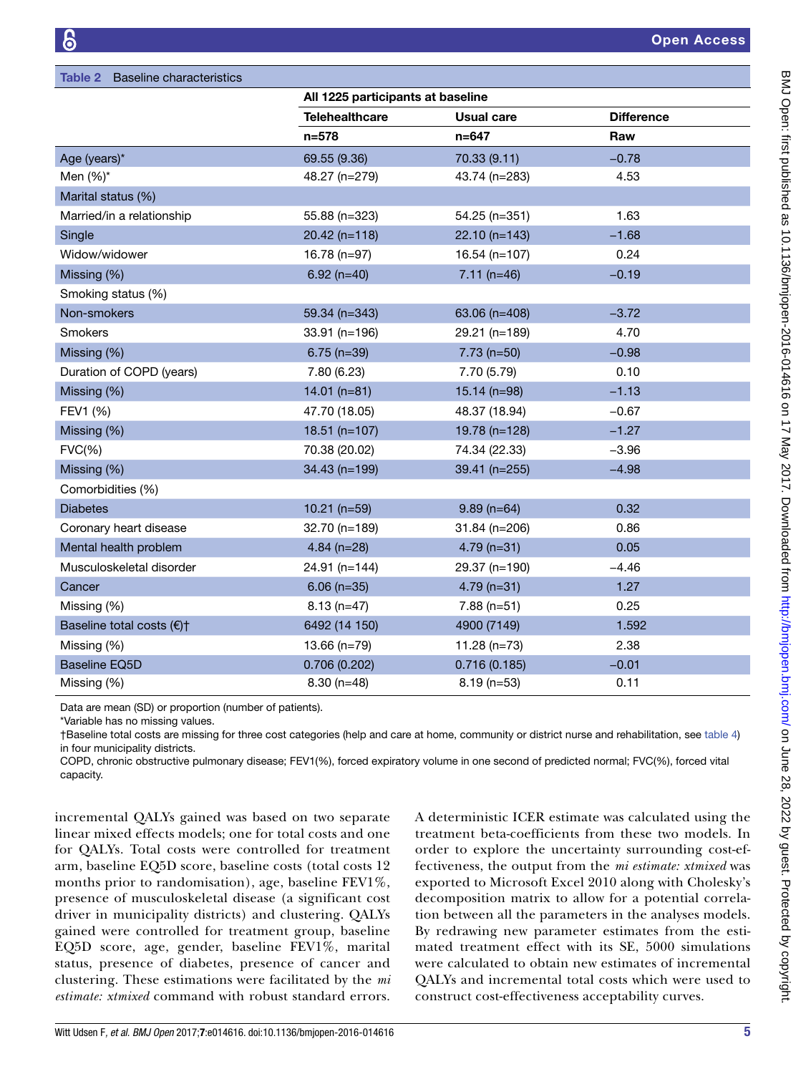<span id="page-4-0"></span>

| <b>Baseline characteristics</b><br>Table 2 |                                   |                   |                   |  |  |
|--------------------------------------------|-----------------------------------|-------------------|-------------------|--|--|
|                                            | All 1225 participants at baseline |                   |                   |  |  |
|                                            | <b>Telehealthcare</b>             | <b>Usual care</b> | <b>Difference</b> |  |  |
|                                            | $n = 578$                         | $n = 647$         | Raw               |  |  |
| Age (years)*                               | 69.55 (9.36)                      | 70.33 (9.11)      | $-0.78$           |  |  |
| Men $(\%)^*$                               | 48.27 (n=279)                     | 43.74 (n=283)     | 4.53              |  |  |
| Marital status (%)                         |                                   |                   |                   |  |  |
| Married/in a relationship                  | 55.88 (n=323)                     | 54.25 (n=351)     | 1.63              |  |  |
| Single                                     | $20.42$ (n=118)                   | $22.10(n=143)$    | $-1.68$           |  |  |
| Widow/widower                              | 16.78 (n=97)                      | $16.54$ (n=107)   | 0.24              |  |  |
| Missing (%)                                | $6.92$ (n=40)                     | $7.11(n=46)$      | $-0.19$           |  |  |
| Smoking status (%)                         |                                   |                   |                   |  |  |
| Non-smokers                                | 59.34 (n=343)                     | 63.06 (n=408)     | $-3.72$           |  |  |
| <b>Smokers</b>                             | 33.91 (n=196)                     | 29.21 (n=189)     | 4.70              |  |  |
| Missing (%)                                | $6.75$ (n=39)                     | $7.73$ (n=50)     | $-0.98$           |  |  |
| Duration of COPD (years)                   | 7.80 (6.23)                       | 7.70 (5.79)       | 0.10              |  |  |
| Missing (%)                                | $14.01(n=81)$                     | $15.14$ (n=98)    | $-1.13$           |  |  |
| FEV1 (%)                                   | 47.70 (18.05)                     | 48.37 (18.94)     | $-0.67$           |  |  |
| Missing (%)                                | 18.51 (n=107)                     | 19.78 (n=128)     | $-1.27$           |  |  |
| FVC(%)                                     | 70.38 (20.02)                     | 74.34 (22.33)     | $-3.96$           |  |  |
| Missing (%)                                | 34.43 (n=199)                     | 39.41 (n=255)     | $-4.98$           |  |  |
| Comorbidities (%)                          |                                   |                   |                   |  |  |
| <b>Diabetes</b>                            | $10.21$ (n=59)                    | $9.89$ (n=64)     | 0.32              |  |  |
| Coronary heart disease                     | 32.70 (n=189)                     | $31.84$ (n=206)   | 0.86              |  |  |
| Mental health problem                      | $4.84$ (n=28)                     | $4.79$ (n=31)     | 0.05              |  |  |
| Musculoskeletal disorder                   | 24.91 (n=144)                     | 29.37 (n=190)     | $-4.46$           |  |  |
| Cancer                                     | $6.06$ (n=35)                     | $4.79$ (n=31)     | 1.27              |  |  |
| Missing (%)                                | $8.13(n=47)$                      | $7.88$ (n=51)     | 0.25              |  |  |
| Baseline total costs (€)†                  | 6492 (14 150)                     | 4900 (7149)       | 1.592             |  |  |
| Missing (%)                                | $13.66$ (n=79)                    | $11.28(n=73)$     | 2.38              |  |  |
| <b>Baseline EQ5D</b>                       | 0.706(0.202)                      | 0.716(0.185)      | $-0.01$           |  |  |
| Missing (%)                                | $8.30(n=48)$                      | $8.19$ (n=53)     | 0.11              |  |  |

Data are mean (SD) or proportion (number of patients).

\*Variable has no missing values.

†Baseline total costs are missing for three cost categories (help and care at home, community or district nurse and rehabilitation, see [table 4](#page-6-0)) in four municipality districts.

COPD, chronic obstructive pulmonary disease; FEV1(%), forced expiratory volume in one second of predicted normal; FVC(%), forced vital capacity.

incremental QALYs gained was based on two separate linear mixed effects models; one for total costs and one for QALYs. Total costs were controlled for treatment arm, baseline EQ5D score, baseline costs (total costs 12 months prior to randomisation), age, baseline FEV1%, presence of musculoskeletal disease (a significant cost driver in municipality districts) and clustering. QALYs gained were controlled for treatment group, baseline EQ5D score, age, gender, baseline FEV1%, marital status, presence of diabetes, presence of cancer and clustering. These estimations were facilitated by the *mi estimate: xtmixed* command with robust standard errors.

A deterministic ICER estimate was calculated using the treatment beta-coefficients from these two models. In order to explore the uncertainty surrounding cost-effectiveness, the output from the *mi estimate: xtmixed* was exported to Microsoft Excel 2010 along with Cholesky's decomposition matrix to allow for a potential correlation between all the parameters in the analyses models. By redrawing new parameter estimates from the estimated treatment effect with its SE, 5000 simulations were calculated to obtain new estimates of incremental QALYs and incremental total costs which were used to construct cost-effectiveness acceptability curves.

BMJ Open: first published as 10.1136/bmjopen-2016-014616 on 17 May 2017. Downloaded from http://bmjopen.bmj.com/ on June 28, 2022 by guest. Protected by copyright BMJ Open: first published as 10.1136/bmjopen-2016-014616 on 17 May 2017. Downloaded from <http://bmjopen.bmj.com/> on June 28, 2022 by guest. Protected by copyright.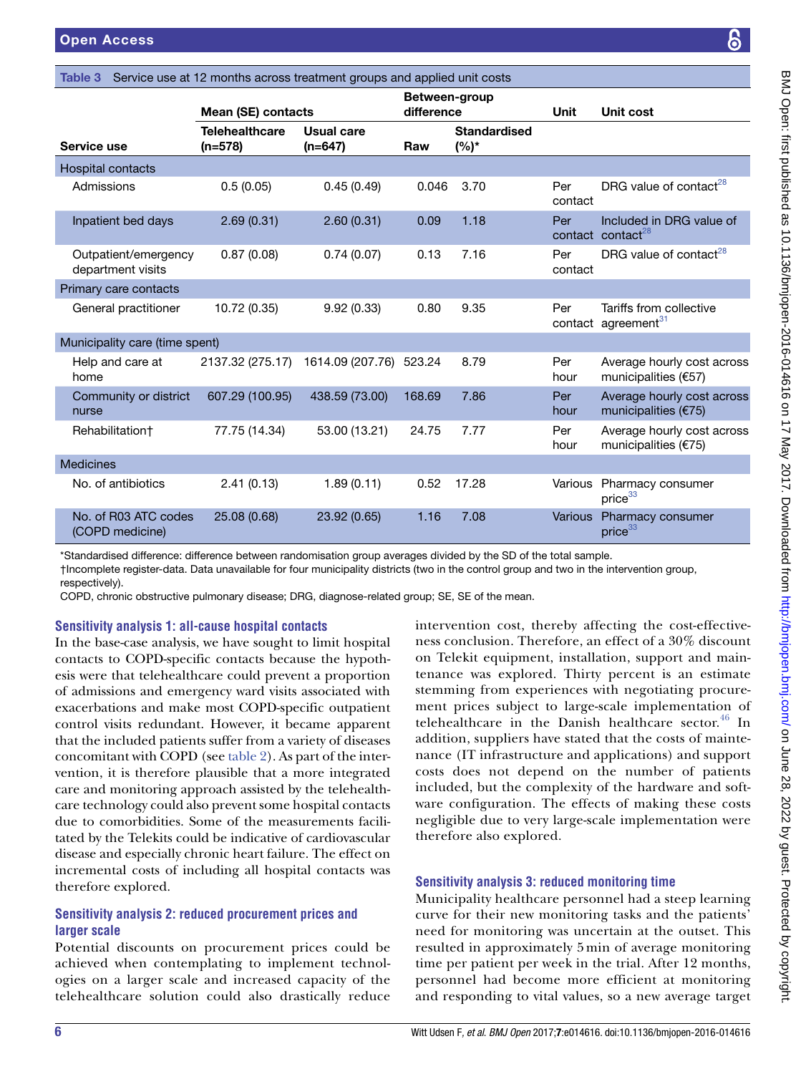|                                           | Mean (SE) contacts                 |                         | Between-group<br>difference |                                | Unit           | <b>Unit cost</b>                                           |
|-------------------------------------------|------------------------------------|-------------------------|-----------------------------|--------------------------------|----------------|------------------------------------------------------------|
| Service use                               | <b>Telehealthcare</b><br>$(n=578)$ | Usual care<br>$(n=647)$ | Raw                         | <b>Standardised</b><br>$(%)^*$ |                |                                                            |
| Hospital contacts                         |                                    |                         |                             |                                |                |                                                            |
| Admissions                                | 0.5(0.05)                          | 0.45(0.49)              | 0.046                       | 3.70                           | Per<br>contact | DRG value of contact <sup>28</sup>                         |
| Inpatient bed days                        | 2.69(0.31)                         | 2.60(0.31)              | 0.09                        | 1.18                           | Per            | Included in DRG value of<br>contact contact <sup>28</sup>  |
| Outpatient/emergency<br>department visits | 0.87(0.08)                         | 0.74(0.07)              | 0.13                        | 7.16                           | Per<br>contact | DRG value of contact <sup>28</sup>                         |
| Primary care contacts                     |                                    |                         |                             |                                |                |                                                            |
| General practitioner                      | 10.72 (0.35)                       | 9.92(0.33)              | 0.80                        | 9.35                           | Per            | Tariffs from collective<br>contact agreement <sup>31</sup> |
| Municipality care (time spent)            |                                    |                         |                             |                                |                |                                                            |
| Help and care at<br>home                  | 2137.32 (275.17)                   | 1614.09 (207.76) 523.24 |                             | 8.79                           | Per<br>hour    | Average hourly cost across<br>municipalities (€57)         |
| Community or district<br>nurse            | 607.29 (100.95)                    | 438.59 (73.00)          | 168.69                      | 7.86                           | Per<br>hour    | Average hourly cost across<br>municipalities (€75)         |
| Rehabilitation+                           | 77.75 (14.34)                      | 53.00 (13.21)           | 24.75                       | 7.77                           | Per<br>hour    | Average hourly cost across<br>municipalities $(E75)$       |
| <b>Medicines</b>                          |                                    |                         |                             |                                |                |                                                            |
| No. of antibiotics                        | 2.41(0.13)                         | 1.89(0.11)              | 0.52                        | 17.28                          | Various        | Pharmacy consumer<br>price <sup>33</sup>                   |
| No. of R03 ATC codes<br>(COPD medicine)   | 25.08 (0.68)                       | 23.92 (0.65)            | 1.16                        | 7.08                           | Various        | Pharmacy consumer<br>price <sup>33</sup>                   |

†Incomplete register-data. Data unavailable for four municipality districts (two in the control group and two in the intervention group, respectively).

COPD, chronic obstructive pulmonary disease; DRG, diagnose-related group; SE, SE of the mean.

<span id="page-5-0"></span>Table 3 Service use at 12 months across treatment groups and applied unit costs

# **Sensitivity analysis 1: all-cause hospital contacts**

In the base-case analysis, we have sought to limit hospital contacts to COPD-specific contacts because the hypothesis were that telehealthcare could prevent a proportion of admissions and emergency ward visits associated with exacerbations and make most COPD-specific outpatient control visits redundant. However, it became apparent that the included patients suffer from a variety of diseases concomitant with COPD (see [table](#page-4-0) 2). As part of the intervention, it is therefore plausible that a more integrated care and monitoring approach assisted by the telehealthcare technology could also prevent some hospital contacts due to comorbidities. Some of the measurements facilitated by the Telekits could be indicative of cardiovascular disease and especially chronic heart failure. The effect on incremental costs of including all hospital contacts was therefore explored.

# **Sensitivity analysis 2: reduced procurement prices and larger scale**

Potential discounts on procurement prices could be achieved when contemplating to implement technologies on a larger scale and increased capacity of the telehealthcare solution could also drastically reduce

intervention cost, thereby affecting the cost-effectiveness conclusion. Therefore, an effect of a 30% discount on Telekit equipment, installation, support and maintenance was explored. Thirty percent is an estimate stemming from experiences with negotiating procurement prices subject to large-scale implementation of telehealthcare in the Danish healthcare sector. $46$  In addition, suppliers have stated that the costs of maintenance (IT infrastructure and applications) and support costs does not depend on the number of patients included, but the complexity of the hardware and software configuration. The effects of making these costs negligible due to very large-scale implementation were therefore also explored.

## **Sensitivity analysis 3: reduced monitoring time**

Municipality healthcare personnel had a steep learning curve for their new monitoring tasks and the patients' need for monitoring was uncertain at the outset. This resulted in approximately 5 min of average monitoring time per patient per week in the trial. After 12 months, personnel had become more efficient at monitoring and responding to vital values, so a new average target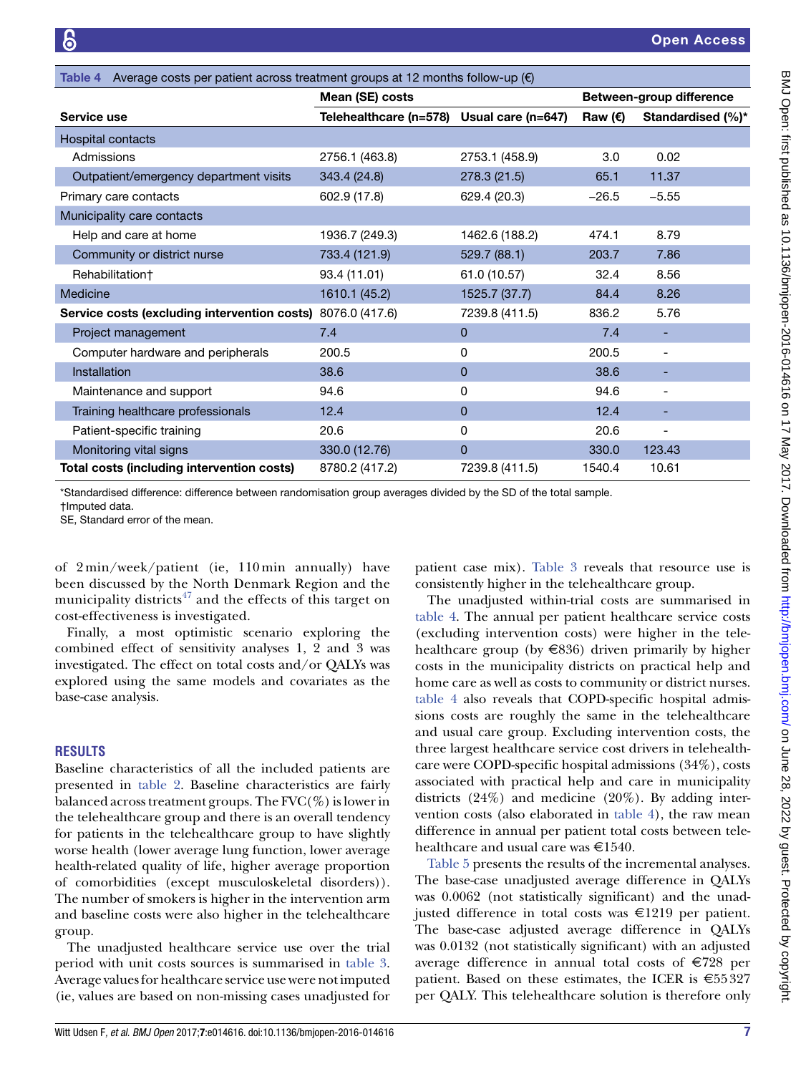<span id="page-6-0"></span>

| Average costs per patient across treatment groups at 12 months follow-up $(\epsilon)$<br>Table 4 |                        |                    |           |                          |
|--------------------------------------------------------------------------------------------------|------------------------|--------------------|-----------|--------------------------|
|                                                                                                  | Mean (SE) costs        |                    |           | Between-group difference |
| Service use                                                                                      | Telehealthcare (n=578) | Usual care (n=647) | Raw $(E)$ | Standardised (%)*        |
| Hospital contacts                                                                                |                        |                    |           |                          |
| Admissions                                                                                       | 2756.1 (463.8)         | 2753.1 (458.9)     | 3.0       | 0.02                     |
| Outpatient/emergency department visits                                                           | 343.4 (24.8)           | 278.3 (21.5)       | 65.1      | 11.37                    |
| Primary care contacts                                                                            | 602.9 (17.8)           | 629.4 (20.3)       | $-26.5$   | $-5.55$                  |
| Municipality care contacts                                                                       |                        |                    |           |                          |
| Help and care at home                                                                            | 1936.7 (249.3)         | 1462.6 (188.2)     | 474.1     | 8.79                     |
| Community or district nurse                                                                      | 733.4 (121.9)          | 529.7 (88.1)       | 203.7     | 7.86                     |
| Rehabilitation†                                                                                  | 93.4 (11.01)           | 61.0 (10.57)       | 32.4      | 8.56                     |
| Medicine                                                                                         | 1610.1 (45.2)          | 1525.7 (37.7)      | 84.4      | 8.26                     |
| Service costs (excluding intervention costs)                                                     | 8076.0 (417.6)         | 7239.8 (411.5)     | 836.2     | 5.76                     |
| Project management                                                                               | 7.4                    | 0                  | 7.4       | ٠                        |
| Computer hardware and peripherals                                                                | 200.5                  | 0                  | 200.5     | -                        |
| Installation                                                                                     | 38.6                   | 0                  | 38.6      | -                        |
| Maintenance and support                                                                          | 94.6                   | 0                  | 94.6      |                          |
| Training healthcare professionals                                                                | 12.4                   | 0                  | 12.4      | -                        |
| Patient-specific training                                                                        | 20.6                   | 0                  | 20.6      |                          |
| Monitoring vital signs                                                                           | 330.0 (12.76)          | 0                  | 330.0     | 123.43                   |
| Total costs (including intervention costs)                                                       | 8780.2 (417.2)         | 7239.8 (411.5)     | 1540.4    | 10.61                    |

\*Standardised difference: difference between randomisation group averages divided by the SD of the total sample.

†Imputed data.

SE, Standard error of the mean.

of 2 min/week/patient (ie, 110 min annually) have been discussed by the North Denmark Region and the municipality districts<sup> $47$ </sup> and the effects of this target on cost-effectiveness is investigated.

Finally, a most optimistic scenario exploring the combined effect of sensitivity analyses 1, 2 and 3 was investigated. The effect on total costs and/or QALYs was explored using the same models and covariates as the base-case analysis.

#### **RESULTS**

Baseline characteristics of all the included patients are presented in [table](#page-4-0) 2. Baseline characteristics are fairly balanced across treatment groups. The  $FVC(\%)$  is lower in the telehealthcare group and there is an overall tendency for patients in the telehealthcare group to have slightly worse health (lower average lung function, lower average health-related quality of life, higher average proportion of comorbidities (except musculoskeletal disorders)). The number of smokers is higher in the intervention arm and baseline costs were also higher in the telehealthcare group.

The unadjusted healthcare service use over the trial period with unit costs sources is summarised in [table](#page-5-0) 3. Average values for healthcare service use were not imputed (ie, values are based on non-missing cases unadjusted for patient case mix). [Table](#page-5-0) 3 reveals that resource use is consistently higher in the telehealthcare group.

The unadjusted within-trial costs are summarised in [table](#page-6-0) 4. The annual per patient healthcare service costs (excluding intervention costs) were higher in the telehealthcare group (by  $\in$ 836) driven primarily by higher costs in the municipality districts on practical help and home care as well as costs to community or district nurses. [table](#page-6-0) 4 also reveals that COPD-specific hospital admissions costs are roughly the same in the telehealthcare and usual care group. Excluding intervention costs, the three largest healthcare service cost drivers in telehealthcare were COPD-specific hospital admissions (34%), costs associated with practical help and care in municipality districts  $(24%)$  and medicine  $(20%)$ . By adding intervention costs (also elaborated in [table](#page-6-0) 4), the raw mean difference in annual per patient total costs between telehealthcare and usual care was  $\text{£}1540$ .

[Table](#page-7-0) 5 presents the results of the incremental analyses. The base-case unadjusted average difference in QALYs was 0.0062 (not statistically significant) and the unadjusted difference in total costs was €1219 per patient. The base-case adjusted average difference in QALYs was 0.0132 (not statistically significant) with an adjusted average difference in annual total costs of €728 per patient. Based on these estimates, the ICER is  $\epsilon$ 55327 per QALY. This telehealthcare solution is therefore only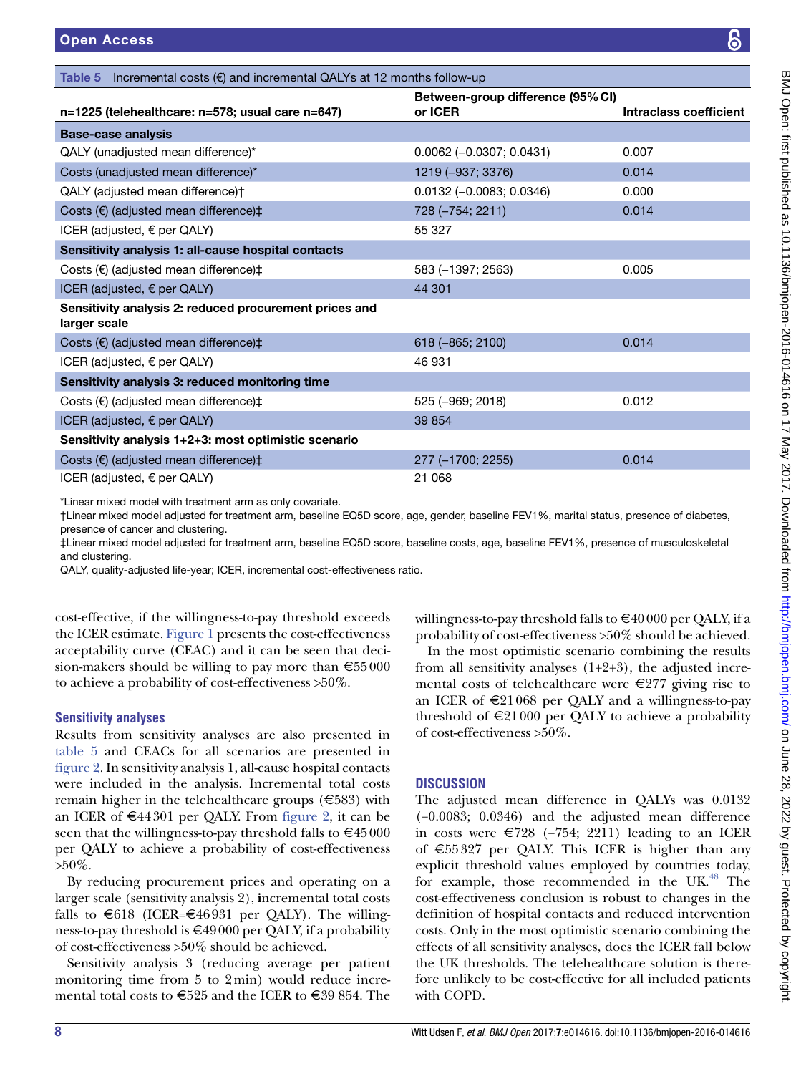| n=1225 (telehealthcare: n=578; usual care n=647)                       | or ICER                    | <b>Intraclass coefficient</b> |
|------------------------------------------------------------------------|----------------------------|-------------------------------|
| <b>Base-case analysis</b>                                              |                            |                               |
| QALY (unadjusted mean difference)*                                     | $0.0062$ (-0.0307; 0.0431) | 0.007                         |
| Costs (unadjusted mean difference)*                                    | 1219 (-937; 3376)          | 0.014                         |
| QALY (adjusted mean difference)+                                       | $0.0132 (-0.0083; 0.0346)$ | 0.000                         |
| Costs $(\epsilon)$ (adjusted mean difference) $\ddagger$               | 728 (-754; 2211)           | 0.014                         |
| ICER (adjusted, $\epsilon$ per QALY)                                   | 55 327                     |                               |
| Sensitivity analysis 1: all-cause hospital contacts                    |                            |                               |
| Costs $(\epsilon)$ (adjusted mean difference) $\ddagger$               | 583 (-1397; 2563)          | 0.005                         |
| ICER (adjusted, € per QALY)                                            | 44 301                     |                               |
| Sensitivity analysis 2: reduced procurement prices and<br>larger scale |                            |                               |
| Costs $(\epsilon)$ (adjusted mean difference) $\ddagger$               | 618 (-865; 2100)           | 0.014                         |
| ICER (adjusted, $\epsilon$ per QALY)                                   | 46 931                     |                               |
| Sensitivity analysis 3: reduced monitoring time                        |                            |                               |
| Costs $(\epsilon)$ (adjusted mean difference) $\ddagger$               | 525 (-969; 2018)           | 0.012                         |
| ICER (adjusted, € per QALY)                                            | 39 854                     |                               |
| Sensitivity analysis 1+2+3: most optimistic scenario                   |                            |                               |
| Costs $(\epsilon)$ (adjusted mean difference) $\ddagger$               | 277 (-1700; 2255)          | 0.014                         |
| ICER (adjusted, $\epsilon$ per QALY)                                   | 21 068                     |                               |

Between-group difference (95%CI)

†Linear mixed model adjusted for treatment arm, baseline EQ5D score, age, gender, baseline FEV1%, marital status, presence of diabetes, presence of cancer and clustering.

‡Linear mixed model adjusted for treatment arm, baseline EQ5D score, baseline costs, age, baseline FEV1%, presence of musculoskeletal and clustering.

QALY, quality-adjusted life-year; ICER, incremental cost-effectiveness ratio.

<span id="page-7-0"></span>Table 5 Incremental costs  $(\epsilon)$  and incremental QALYs at 12 months follow-up

cost-effective, if the willingness-to-pay threshold exceeds the ICER estimate. [Figure](#page-8-0) 1 presents the cost-effectiveness acceptability curve (CEAC) and it can be seen that decision-makers should be willing to pay more than €55000 to achieve a probability of cost-effectiveness >50%.

# **Sensitivity analyses**

Results from sensitivity analyses are also presented in [table](#page-7-0) 5 and CEACs for all scenarios are presented in [figure](#page-8-1) 2. In sensitivity analysis 1, all-cause hospital contacts were included in the analysis. Incremental total costs remain higher in the telehealthcare groups  $(\text{\textsterling}583)$  with an ICER of  $\epsilon$ 44301 per QALY. From [figure](#page-8-1) 2, it can be seen that the willingness-to-pay threshold falls to  $\epsilon$ 45000 per QALY to achieve a probability of cost-effectiveness  $>50\%$ .

By reducing procurement prices and operating on a larger scale (sensitivity analysis 2), **i**ncremental total costs falls to  $\epsilon$ 618 (ICER= $\epsilon$ 46931 per QALY). The willingness-to-pay threshold is  $\epsilon$ 49000 per QALY, if a probability of cost-effectiveness >50% should be achieved.

Sensitivity analysis 3 (reducing average per patient monitoring time from 5 to 2min) would reduce incremental total costs to  $\epsilon$ 525 and the ICER to  $\epsilon$ 39 854. The

willingness-to-pay threshold falls to €40000 per QALY, if a probability of cost-effectiveness >50% should be achieved.

In the most optimistic scenario combining the results from all sensitivity analyses  $(1+2+3)$ , the adjusted incremental costs of telehealthcare were  $\epsilon$ 277 giving rise to an ICER of  $\epsilon$ 21068 per QALY and a willingness-to-pay threshold of  $\epsilon$ 21000 per QALY to achieve a probability of cost-effectiveness >50%.

# **DISCUSSION**

The adjusted mean difference in QALYs was 0.0132 (−0.0083; 0.0346) and the adjusted mean difference in costs were €728 (−754; 2211) leading to an ICER of €55327 per QALY. This ICER is higher than any explicit threshold values employed by countries today, for example, those recommended in the UK $^{48}$  The cost-effectiveness conclusion is robust to changes in the definition of hospital contacts and reduced intervention costs. Only in the most optimistic scenario combining the effects of all sensitivity analyses, does the ICER fall below the UK thresholds. The telehealthcare solution is therefore unlikely to be cost-effective for all included patients with COPD.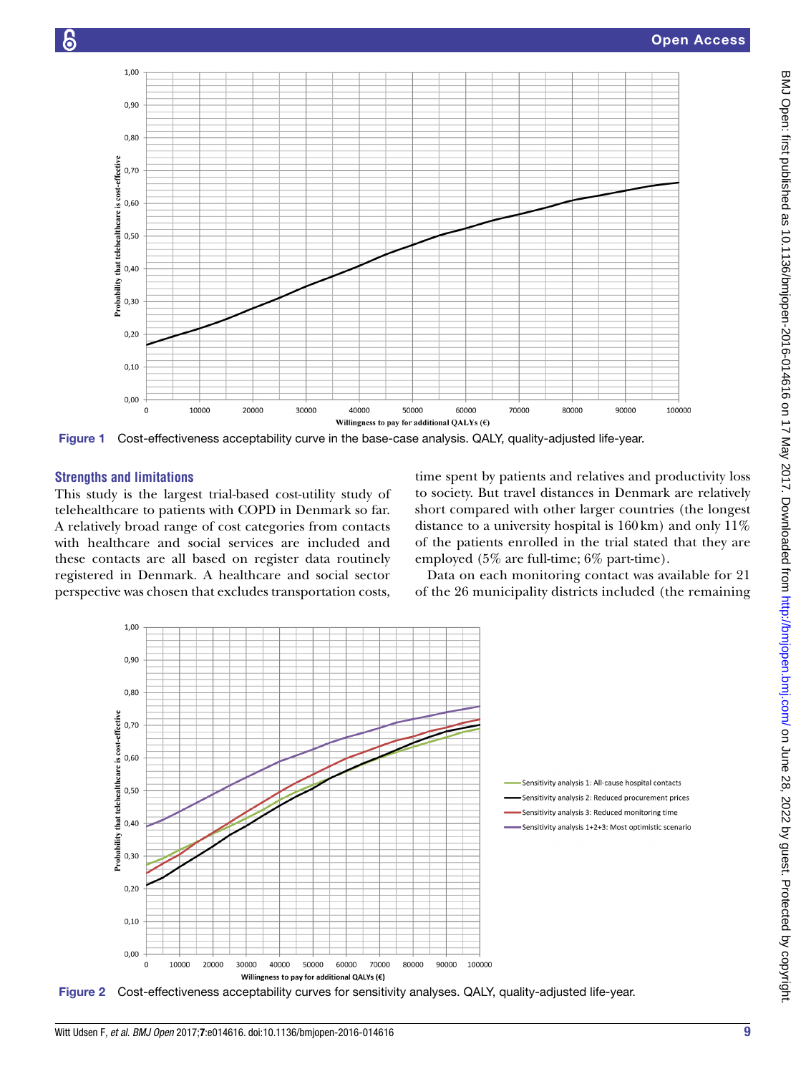

<span id="page-8-0"></span>Figure 1 Cost-effectiveness acceptability curve in the base-case analysis. QALY, quality-adjusted life-year.

### **Strengths and limitations**

This study is the largest trial-based cost-utility study of telehealthcare to patients with COPD in Denmark so far. A relatively broad range of cost categories from contacts with healthcare and social services are included and these contacts are all based on register data routinely registered in Denmark. A healthcare and social sector perspective was chosen that excludes transportation costs, time spent by patients and relatives and productivity loss to society. But travel distances in Denmark are relatively short compared with other larger countries (the longest distance to a university hospital is 160km) and only 11% of the patients enrolled in the trial stated that they are employed (5% are full-time; 6% part-time).

Data on each monitoring contact was available for 21 of the 26 municipality districts included (the remaining



<span id="page-8-1"></span>Figure 2 Cost-effectiveness acceptability curves for sensitivity analyses. QALY, quality-adjusted life-year.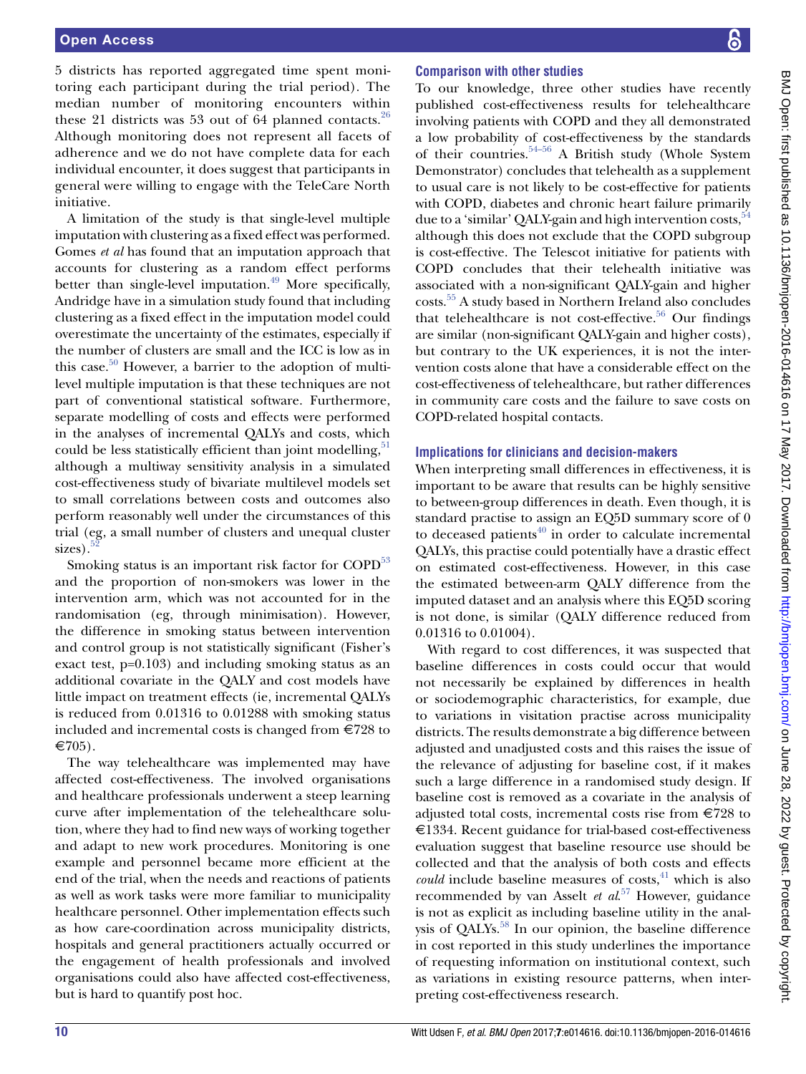5 districts has reported aggregated time spent monitoring each participant during the trial period). The median number of monitoring encounters within these 21 districts was 53 out of 64 planned contacts.<sup>[26](#page-11-11)</sup> Although monitoring does not represent all facets of adherence and we do not have complete data for each individual encounter, it does suggest that participants in general were willing to engage with the TeleCare North initiative.

A limitation of the study is that single-level multiple imputation with clustering as a fixed effect was performed. Gomes *et al* has found that an imputation approach that accounts for clustering as a random effect performs better than single-level imputation.<sup>49</sup> More specifically, Andridge have in a simulation study found that including clustering as a fixed effect in the imputation model could overestimate the uncertainty of the estimates, especially if the number of clusters are small and the ICC is low as in this case. $50$  However, a barrier to the adoption of multilevel multiple imputation is that these techniques are not part of conventional statistical software. Furthermore, separate modelling of costs and effects were performed in the analyses of incremental QALYs and costs, which could be less statistically efficient than joint modelling,<sup>[51](#page-11-35)</sup> although a multiway sensitivity analysis in a simulated cost-effectiveness study of bivariate multilevel models set to small correlations between costs and outcomes also perform reasonably well under the circumstances of this trial (eg, a small number of clusters and unequal cluster  $sizes$ ).

Smoking status is an important risk factor for COPD<sup>[53](#page-11-37)</sup> and the proportion of non-smokers was lower in the intervention arm, which was not accounted for in the randomisation (eg, through minimisation). However, the difference in smoking status between intervention and control group is not statistically significant (Fisher's exact test, p=0.103) and including smoking status as an additional covariate in the QALY and cost models have little impact on treatment effects (ie, incremental QALYs is reduced from 0.01316 to 0.01288 with smoking status included and incremental costs is changed from €728 to  $\in 705$ ).

The way telehealthcare was implemented may have affected cost-effectiveness. The involved organisations and healthcare professionals underwent a steep learning curve after implementation of the telehealthcare solution, where they had to find new ways of working together and adapt to new work procedures. Monitoring is one example and personnel became more efficient at the end of the trial, when the needs and reactions of patients as well as work tasks were more familiar to municipality healthcare personnel. Other implementation effects such as how care-coordination across municipality districts, hospitals and general practitioners actually occurred or the engagement of health professionals and involved organisations could also have affected cost-effectiveness, but is hard to quantify post hoc.

## **Comparison with other studies**

To our knowledge, three other studies have recently published cost-effectiveness results for telehealthcare involving patients with COPD and they all demonstrated a low probability of cost-effectiveness by the standards of their countries.<sup>54-56</sup> A British study (Whole System Demonstrator) concludes that telehealth as a supplement to usual care is not likely to be cost-effective for patients with COPD, diabetes and chronic heart failure primarily due to a 'similar' QALY-gain and high intervention costs, <sup>54</sup> although this does not exclude that the COPD subgroup is cost-effective. The Telescot initiative for patients with COPD concludes that their telehealth initiative was associated with a non-significant QALY-gain and higher costs[.55](#page-11-39) A study based in Northern Ireland also concludes that telehealthcare is not cost-effective.<sup>56</sup> Our findings are similar (non-significant QALY-gain and higher costs), but contrary to the UK experiences, it is not the intervention costs alone that have a considerable effect on the cost-effectiveness of telehealthcare, but rather differences in community care costs and the failure to save costs on COPD-related hospital contacts.

## **Implications for clinicians and decision-makers**

When interpreting small differences in effectiveness, it is important to be aware that results can be highly sensitive to between-group differences in death. Even though, it is standard practise to assign an EQ5D summary score of 0 to deceased patients $40$  in order to calculate incremental QALYs, this practise could potentially have a drastic effect on estimated cost-effectiveness. However, in this case the estimated between-arm QALY difference from the imputed dataset and an analysis where this EQ5D scoring is not done, is similar (QALY difference reduced from 0.01316 to 0.01004).

With regard to cost differences, it was suspected that baseline differences in costs could occur that would not necessarily be explained by differences in health or sociodemographic characteristics, for example, due to variations in visitation practise across municipality districts. The results demonstrate a big difference between adjusted and unadjusted costs and this raises the issue of the relevance of adjusting for baseline cost, if it makes such a large difference in a randomised study design. If baseline cost is removed as a covariate in the analysis of adjusted total costs, incremental costs rise from €728 to €1334. Recent guidance for trial-based cost-effectiveness evaluation suggest that baseline resource use should be collected and that the analysis of both costs and effects *could* include baseline measures of costs, $41$  which is also recommended by van Asselt *et al*. [57](#page-12-0) However, guidance is not as explicit as including baseline utility in the analysis of QALYs.<sup>58</sup> In our opinion, the baseline difference in cost reported in this study underlines the importance of requesting information on institutional context, such as variations in existing resource patterns, when interpreting cost-effectiveness research.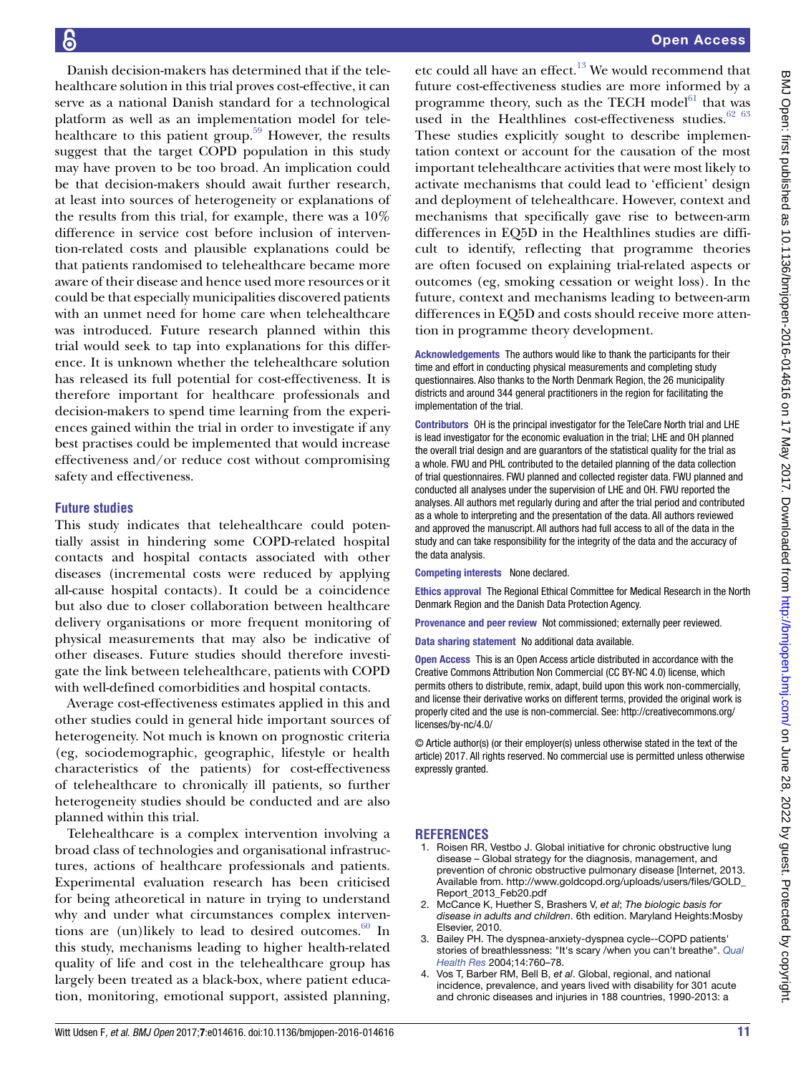Danish decision-makers has determined that if the telehealthcare solution in this trial proves cost-effective, it can serve as a national Danish standard for a technological platform as well as an implementation model for telehealthcare to this patient group.<sup>59</sup> However, the results suggest that the target COPD population in this study may have proven to be too broad. An implication could be that decision-makers should await further research, at least into sources of heterogeneity or explanations of the results from this trial, for example, there was a 10% difference in service cost before inclusion of intervention-related costs and plausible explanations could be that patients randomised to telehealthcare became more aware of their disease and hence used more resources or it could be that especially municipalities discovered patients with an unmet need for home care when telehealthcare was introduced. Future research planned within this trial would seek to tap into explanations for this difference. It is unknown whether the telehealthcare solution has released its full potential for cost-effectiveness. It is therefore important for healthcare professionals and decision-makers to spend time learning from the experiences gained within the trial in order to investigate if any best practises could be implemented that would increase effectiveness and/or reduce cost without compromising safety and effectiveness.

#### **Future studies**

This study indicates that telehealthcare could potentially assist in hindering some COPD-related hospital contacts and hospital contacts associated with other diseases (incremental costs were reduced by applying all-cause hospital contacts). It could be a coincidence but also due to closer collaboration between healthcare delivery organisations or more frequent monitoring of physical measurements that may also be indicative of other diseases. Future studies should therefore investigate the link between telehealthcare, patients with COPD with well-defined comorbidities and hospital contacts.

Average cost-effectiveness estimates applied in this and other studies could in general hide important sources of heterogeneity. Not much is known on prognostic criteria (eg, sociodemographic, geographic, lifestyle or health characteristics of the patients) for cost-effectiveness of telehealthcare to chronically ill patients, so further heterogeneity studies should be conducted and are also planned within this trial.

Telehealthcare is a complex intervention involving a broad class of technologies and organisational infrastructures, actions of healthcare professionals and patients. Experimental evaluation research has been criticised for being atheoretical in nature in trying to understand why and under what circumstances complex interventions are (un)likely to lead to desired outcomes.<sup>60</sup> In this study, mechanisms leading to higher health-related quality of life and cost in the telehealthcare group has largely been treated as a black-box, where patient education, monitoring, emotional support, assisted planning,

etc could all have an effect.<sup>[13](#page-11-6)</sup> We would recommend that future cost-effectiveness studies are more informed by a programme theory, such as the TECH model $^{61}$  $^{61}$  $^{61}$  that was used in the Healthlines cost-effectiveness studies. $6263$ These studies explicitly sought to describe implementation context or account for the causation of the most important telehealthcare activities that were most likely to activate mechanisms that could lead to 'efficient' design and deployment of telehealthcare. However, context and mechanisms that specifically gave rise to between-arm differences in EQ5D in the Healthlines studies are difficult to identify, reflecting that programme theories are often focused on explaining trial-related aspects or outcomes (eg, smoking cessation or weight loss). In the future, context and mechanisms leading to between-arm differences in EQ5D and costs should receive more attention in programme theory development.

Acknowledgements The authors would like to thank the participants for their time and effort in conducting physical measurements and completing study questionnaires. Also thanks to the North Denmark Region, the 26 municipality districts and around 344 general practitioners in the region for facilitating the implementation of the trial.

Contributors OH is the principal investigator for the TeleCare North trial and LHE is lead investigator for the economic evaluation in the trial; LHE and OH planned the overall trial design and are guarantors of the statistical quality for the trial as a whole. FWU and PHL contributed to the detailed planning of the data collection of trial questionnaires. FWU planned and collected register data. FWU planned and conducted all analyses under the supervision of LHE and OH. FWU reported the analyses. All authors met regularly during and after the trial period and contributed as a whole to interpreting and the presentation of the data. All authors reviewed and approved the manuscript. All authors had full access to all of the data in the study and can take responsibility for the integrity of the data and the accuracy of the data analysis.

Competing interests None declared.

Ethics approval The Regional Ethical Committee for Medical Research in the North Denmark Region and the Danish Data Protection Agency.

Provenance and peer review Not commissioned; externally peer reviewed.

Data sharing statement No additional data available.

Open Access This is an Open Access article distributed in accordance with the Creative Commons Attribution Non Commercial (CC BY-NC 4.0) license, which permits others to distribute, remix, adapt, build upon this work non-commercially, and license their derivative works on different terms, provided the original work is properly cited and the use is non-commercial. See: [http://creativecommons.org/](http://creativecommons.org/licenses/by-nc/4.0/) [licenses/by-nc/4.0/](http://creativecommons.org/licenses/by-nc/4.0/)

© Article author(s) (or their employer(s) unless otherwise stated in the text of the article) 2017. All rights reserved. No commercial use is permitted unless otherwise expressly granted.

#### **REFERENCES**

- <span id="page-10-0"></span>1. Roisen RR, Vestbo J. Global initiative for chronic obstructive lung disease – Global strategy for the diagnosis, management, and prevention of chronic obstructive pulmonary disease [Internet, 2013. Available from. [http://www.goldcopd.org/uploads/users/files/GOLD\\_](http://www.goldcopd.org/uploads/users/files/GOLD_Report_2013_Feb20.pdf) [Report\\_2013\\_Feb20.pdf](http://www.goldcopd.org/uploads/users/files/GOLD_Report_2013_Feb20.pdf)
- <span id="page-10-1"></span>2. McCance K, Huether S, Brashers V, *et al*; *The biologic basis for disease in adults and children*. 6th edition. Maryland Heights:Mosby Elsevier, 2010.
- <span id="page-10-2"></span>3. Bailey PH. The dyspnea-anxiety-dyspnea cycle--COPD patients' stories of breathlessness: "It's scary /when you can't breathe". *[Qual](http://dx.doi.org/10.1177/1049732304265973)  [Health Res](http://dx.doi.org/10.1177/1049732304265973)* 2004;14:760–78.
- <span id="page-10-3"></span>4. Vos T, Barber RM, Bell B, *et al*. Global, regional, and national incidence, prevalence, and years lived with disability for 301 acute and chronic diseases and injuries in 188 countries, 1990-2013: a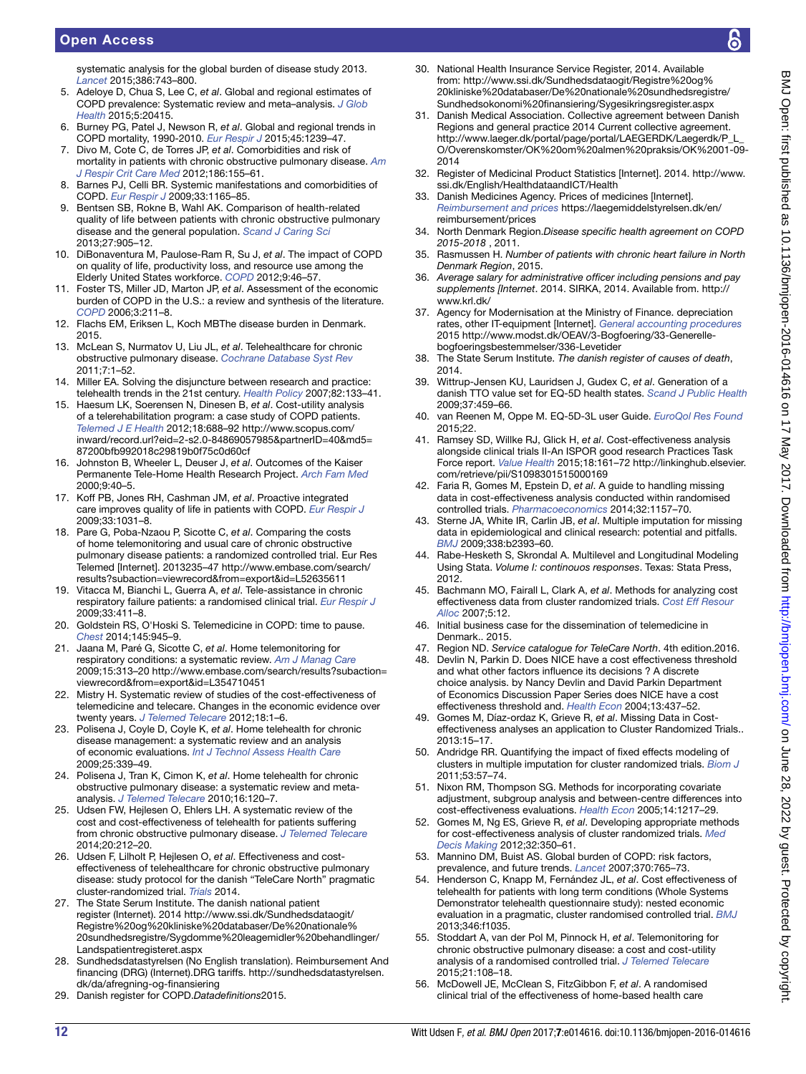## Open Access

systematic analysis for the global burden of disease study 2013. *[Lancet](http://dx.doi.org/10.1016/S0140-6736(15)60692-4)* 2015;386:743–800.

- <span id="page-11-0"></span>5. Adeloye D, Chua S, Lee C, *et al*. Global and regional estimates of COPD prevalence: Systematic review and meta–analysis. *[J Glob](http://dx.doi.org/10.7189/jogh.05.020415)  [Health](http://dx.doi.org/10.7189/jogh.05.020415)* 2015;5:20415.
- <span id="page-11-1"></span>6. Burney PG, Patel J, Newson R, *et al*. Global and regional trends in COPD mortality, 1990-2010. *[Eur Respir J](http://dx.doi.org/10.1183/09031936.00142414)* 2015;45:1239–47.
- <span id="page-11-2"></span>7. Divo M, Cote C, de Torres JP, *et al*. Comorbidities and risk of mortality in patients with chronic obstructive pulmonary disease. *[Am](http://dx.doi.org/10.1164/rccm.201201-0034OC)  [J Respir Crit Care Med](http://dx.doi.org/10.1164/rccm.201201-0034OC)* 2012;186:155–61.
- 8. Barnes PJ, Celli BR. Systemic manifestations and comorbidities of COPD. *[Eur Respir J](http://dx.doi.org/10.1183/09031936.00128008)* 2009;33:1165–85.
- <span id="page-11-3"></span>9. Bentsen SB, Rokne B, Wahl AK. Comparison of health-related quality of life between patients with chronic obstructive pulmonary disease and the general population. *[Scand J Caring Sci](http://dx.doi.org/10.1111/scs.12002)* 2013;27:905–12.
- 10. DiBonaventura M, Paulose-Ram R, Su J, *et al*. The impact of COPD on quality of life, productivity loss, and resource use among the Elderly United States workforce. *[COPD](http://dx.doi.org/10.3109/15412555.2011.634863)* 2012;9:46–57.
- <span id="page-11-4"></span>11. Foster TS, Miller JD, Marton JP, *et al*. Assessment of the economic burden of COPD in the U.S.: a review and synthesis of the literature. *[COPD](http://dx.doi.org/10.1080/15412550601009396)* 2006;3:211–8.
- <span id="page-11-5"></span>12. Flachs EM, Eriksen L, Koch MBThe disease burden in Denmark. 2015.
- <span id="page-11-6"></span>13. McLean S, Nurmatov U, Liu JL, *et al*. Telehealthcare for chronic obstructive pulmonary disease. *Cochrane Database Syst Rev* 2011;7:1–52.
- <span id="page-11-7"></span>14. Miller EA. Solving the disjuncture between research and practice: telehealth trends in the 21st century. *[Health Policy](http://dx.doi.org/10.1016/j.healthpol.2006.09.011)* 2007;82:133–41.
- <span id="page-11-8"></span>15. Haesum LK, Soerensen N, Dinesen B, *et al*. Cost-utility analysis of a telerehabilitation program: a case study of COPD patients. *[Telemed J E Health](http://dx.doi.org/10.1089/tmj.2011.0250)* 2012;18:688–92 [http://www.scopus.com/](http://www.scopus.com/inward/record.url?eid=2-s2.0-84869057985&partnerID=40&md5=87200bfb992018c29819b0f75c0d60cf) [inward/record.url?eid=2-s2.0-84869057985&partnerID=40&md5=](http://www.scopus.com/inward/record.url?eid=2-s2.0-84869057985&partnerID=40&md5=87200bfb992018c29819b0f75c0d60cf) [87200bfb992018c29819b0f75c0d60cf](http://www.scopus.com/inward/record.url?eid=2-s2.0-84869057985&partnerID=40&md5=87200bfb992018c29819b0f75c0d60cf)
- 16. Johnston B, Wheeler L, Deuser J, *et al*. Outcomes of the Kaiser Permanente Tele-Home Health Research Project. *[Arch Fam Med](http://dx.doi.org/10.1001/archfami.9.1.40)* 2000;9:40–5.
- 17. Koff PB, Jones RH, Cashman JM, *et al*. Proactive integrated care improves quality of life in patients with COPD. *[Eur Respir J](http://dx.doi.org/10.1183/09031936.00063108)* 2009;33:1031–8.
- 18. Pare G, Poba-Nzaou P, Sicotte C, *et al*. Comparing the costs of home telemonitoring and usual care of chronic obstructive pulmonary disease patients: a randomized controlled trial. Eur Res Telemed [Internet]. 2013235–47 [http://www.embase.com/search/](http://www.embase.com/search/results?subaction=viewrecord&from=export&id=L52635611) [results?subaction=viewrecord&from=export&id=L52635611](http://www.embase.com/search/results?subaction=viewrecord&from=export&id=L52635611)
- 19. Vitacca M, Bianchi L, Guerra A, *et al*. Tele-assistance in chronic respiratory failure patients: a randomised clinical trial. *[Eur Respir J](http://dx.doi.org/10.1183/09031936.00005608)* 2009;33:411–8.
- <span id="page-11-9"></span>20. Goldstein RS, O'Hoski S. Telemedicine in COPD: time to pause. *[Chest](http://dx.doi.org/10.1378/chest.13-1656)* 2014;145:945–9.
- 21. Jaana M, Paré G, Sicotte C, *et al*. Home telemonitoring for respiratory conditions: a systematic review. *Am J Manag Care* 2009;15:313–20 [http://www.embase.com/search/results?subaction=](http://www.embase.com/search/results?subaction=viewrecord&from=export&id=L354710451) [viewrecord&from=export&id=L354710451](http://www.embase.com/search/results?subaction=viewrecord&from=export&id=L354710451)
- 22. Mistry H. Systematic review of studies of the cost-effectiveness of telemedicine and telecare. Changes in the economic evidence over twenty years. *[J Telemed Telecare](http://dx.doi.org/10.1258/jtt.2011.110505)* 2012;18:1–6.
- 23. Polisena J, Coyle D, Coyle K, *et al*. Home telehealth for chronic disease management: a systematic review and an analysis of economic evaluations. *[Int J Technol Assess Health Care](http://dx.doi.org/10.1017/S0266462309990201)* 2009;25:339–49.
- 24. Polisena J, Tran K, Cimon K, *et al*. Home telehealth for chronic obstructive pulmonary disease: a systematic review and metaanalysis. *[J Telemed Telecare](http://dx.doi.org/10.1258/jtt.2009.090812)* 2010;16:120–7.
- <span id="page-11-10"></span>25. Udsen FW, Hejlesen O, Ehlers LH. A systematic review of the cost and cost-effectiveness of telehealth for patients suffering from chronic obstructive pulmonary disease. *[J Telemed Telecare](http://dx.doi.org/10.1177/1357633X14533896)* 2014;20:212–20.
- <span id="page-11-11"></span>26. Udsen F, Lilholt P, Hejlesen O, *et al*. Effectiveness and costeffectiveness of telehealthcare for chronic obstructive pulmonary disease: study protocol for the danish "TeleCare North" pragmatic cluster-randomized trial. *Trials* 2014.
- <span id="page-11-12"></span>27. The State Serum Institute. The danish national patient register (Internet). 2014 [http://www.ssi.dk/Sundhedsdataogit/](http://www.ssi.dk/Sundhedsdataogit/Registre%20og%20kliniske%20databaser/De%20nationale%20sundhedsregistre/Sygdomme%20leagemidler%20behandlinger/Landspatientregisteret.aspx) [Registre%20og%20kliniske%20databaser/De%20nationale%](http://www.ssi.dk/Sundhedsdataogit/Registre%20og%20kliniske%20databaser/De%20nationale%20sundhedsregistre/Sygdomme%20leagemidler%20behandlinger/Landspatientregisteret.aspx) [20sundhedsregistre/Sygdomme%20leagemidler%20behandlinger/](http://www.ssi.dk/Sundhedsdataogit/Registre%20og%20kliniske%20databaser/De%20nationale%20sundhedsregistre/Sygdomme%20leagemidler%20behandlinger/Landspatientregisteret.aspx) [Landspatientregisteret.aspx](http://www.ssi.dk/Sundhedsdataogit/Registre%20og%20kliniske%20databaser/De%20nationale%20sundhedsregistre/Sygdomme%20leagemidler%20behandlinger/Landspatientregisteret.aspx)
- <span id="page-11-13"></span>28. Sundhedsdatastyrelsen (No English translation). Reimbursement And financing (DRG) (Internet).DRG tariffs. [http://sundhedsdatastyrelsen.](http://sundhedsdatastyrelsen.dk/da/afregning-og-finansiering) [dk/da/afregning-og-finansiering](http://sundhedsdatastyrelsen.dk/da/afregning-og-finansiering)
- <span id="page-11-14"></span>29. Danish register for COPD.*Datadefinitions*2015.
- <span id="page-11-15"></span>30. National Health Insurance Service Register, 2014. Available from: [http://www.ssi.dk/Sundhedsdataogit/Registre%20og%](http://www.ssi.dk/Sundhedsdataogit/Registre%20og%20kliniske%20databaser/De%20nationale%20sundhedsregistre/Sundhedsokonomi%20finansiering/Sygesikringsregister.aspx) [20kliniske%20databaser/De%20nationale%20sundhedsregistre/](http://www.ssi.dk/Sundhedsdataogit/Registre%20og%20kliniske%20databaser/De%20nationale%20sundhedsregistre/Sundhedsokonomi%20finansiering/Sygesikringsregister.aspx) [Sundhedsokonomi%20finansiering/Sygesikringsregister.aspx](http://www.ssi.dk/Sundhedsdataogit/Registre%20og%20kliniske%20databaser/De%20nationale%20sundhedsregistre/Sundhedsokonomi%20finansiering/Sygesikringsregister.aspx)
- <span id="page-11-16"></span>31. Danish Medical Association. Collective agreement between Danish Regions and general practice 2014 Current collective agreement. [http://www.laeger.dk/portal/page/portal/LAEGERDK/Laegerdk/P\\_L\\_](http://www.laeger.dk/portal/page/portal/LAEGERDK/Laegerdk/P_L_O/Overenskomster/OK%20om%20almen%20praksis/OK%2001-09-2014) [O/Overenskomster/OK%20om%20almen%20praksis/OK%2001-09-](http://www.laeger.dk/portal/page/portal/LAEGERDK/Laegerdk/P_L_O/Overenskomster/OK%20om%20almen%20praksis/OK%2001-09-2014) [2014](http://www.laeger.dk/portal/page/portal/LAEGERDK/Laegerdk/P_L_O/Overenskomster/OK%20om%20almen%20praksis/OK%2001-09-2014)
- <span id="page-11-17"></span>32. Register of Medicinal Product Statistics [Internet]. 2014. [http://www.](http://www.ssi.dk/English/HealthdataandICT/Health) [ssi.dk/English/HealthdataandICT/Health](http://www.ssi.dk/English/HealthdataandICT/Health)
- <span id="page-11-18"></span>33. Danish Medicines Agency. Prices of medicines [Internet]. *Reimbursement and prices* [https://laegemiddelstyrelsen.dk/en/](https://laegemiddelstyrelsen.dk/en/reimbursement/prices) [reimbursement/prices](https://laegemiddelstyrelsen.dk/en/reimbursement/prices)
- <span id="page-11-19"></span>34. North Denmark Region.*Disease specific health agreement on COPD 2015-2018* , 2011.
- 35. Rasmussen H. *Number of patients with chronic heart failure in North Denmark Region*, 2015.
- <span id="page-11-20"></span>36. *Average salary for administrative officer including pensions and pay supplements [Internet*. 2014. SIRKA, 2014. Available from. [http://](http://www.krl.dk/) [www.krl.dk/](http://www.krl.dk/)
- <span id="page-11-21"></span>37. Agency for Modernisation at the Ministry of Finance. depreciation rates, other IT-equipment [Internet]. *General accounting procedures* 2015 [http://www.modst.dk/OEAV/3-Bogfoering/33-Generelle](http://www.modst.dk/OEAV/3-Bogfoering/33-Generelle-bogfoeringsbestemmelser/336-Levetider)[bogfoeringsbestemmelser/336-Levetider](http://www.modst.dk/OEAV/3-Bogfoering/33-Generelle-bogfoeringsbestemmelser/336-Levetider)
- <span id="page-11-22"></span>38. The State Serum Institute. *The danish register of causes of death*, 2014.
- <span id="page-11-23"></span>39. Wittrup-Jensen KU, Lauridsen J, Gudex C, *et al*. Generation of a danish TTO value set for EQ-5D health states. *[Scand J Public Health](http://dx.doi.org/10.1177/1403494809105287)* 2009;37:459–66.
- <span id="page-11-24"></span>40. van Reenen M, Oppe M. EQ-5D-3L user Guide. *EuroQol Res Found* 2015;22.
- <span id="page-11-25"></span>41. Ramsey SD, Willke RJ, Glick H, *et al*. Cost-effectiveness analysis alongside clinical trials II-An ISPOR good research Practices Task Force report. *[Value Health](http://dx.doi.org/10.1016/j.jval.2015.02.001)* 2015;18:161–72 [http://linkinghub.elsevier.](http://linkinghub.elsevier.com/retrieve/pii/S1098301515000169) [com/retrieve/pii/S1098301515000169](http://linkinghub.elsevier.com/retrieve/pii/S1098301515000169)
- <span id="page-11-26"></span>42. Faria R, Gomes M, Epstein D, *et al*. A guide to handling missing data in cost-effectiveness analysis conducted within randomised controlled trials. *[Pharmacoeconomics](http://dx.doi.org/10.1007/s40273-014-0193-3)* 2014;32:1157–70.
- <span id="page-11-27"></span>43. Sterne JA, White IR, Carlin JB, *et al*. Multiple imputation for missing data in epidemiological and clinical research: potential and pitfalls. *[BMJ](http://dx.doi.org/10.1136/bmj.b2393)* 2009;338:b2393–60.
- <span id="page-11-28"></span>44. Rabe-Hesketh S, Skrondal A. Multilevel and Longitudinal Modeling Using Stata. *Volume I: continouos responses*. Texas: Stata Press, 2012.
- <span id="page-11-29"></span>45. Bachmann MO, Fairall L, Clark A, *et al*. Methods for analyzing cost effectiveness data from cluster randomized trials. *[Cost Eff Resour](http://dx.doi.org/10.1186/1478-7547-5-12)  [Alloc](http://dx.doi.org/10.1186/1478-7547-5-12)* 2007;5:12.
- <span id="page-11-30"></span>46. Initial business case for the dissemination of telemedicine in Denmark.. 2015.
- <span id="page-11-31"></span>47. Region ND. *Service catalogue for TeleCare North*. 4th edition.2016.
- <span id="page-11-32"></span>48. Devlin N, Parkin D. Does NICE have a cost effectiveness threshold and what other factors influence its decisions ? A discrete choice analysis. by Nancy Devlin and David Parkin Department of Economics Discussion Paper Series does NICE have a cost effectiveness threshold and. *Health Econ* 2004;13:437–52.
- <span id="page-11-33"></span>49. Gomes M, Díaz-ordaz K, Grieve R, *et al*. Missing Data in Costeffectiveness analyses an application to Cluster Randomized Trials.. 2013:15–17.
- <span id="page-11-34"></span>50. Andridge RR. Quantifying the impact of fixed effects modeling of clusters in multiple imputation for cluster randomized trials. *[Biom J](http://dx.doi.org/10.1002/bimj.201000140)* 2011;53:57–74.
- <span id="page-11-35"></span>51. Nixon RM, Thompson SG. Methods for incorporating covariate adjustment, subgroup analysis and between-centre differences into cost-effectiveness evaluations. *[Health Econ](http://dx.doi.org/10.1002/hec.1008)* 2005;14:1217–29.
- <span id="page-11-36"></span>52. Gomes M, Ng ES, Grieve R, *et al*. Developing appropriate methods for cost-effectiveness analysis of cluster randomized trials. *[Med](http://dx.doi.org/10.1177/0272989X11418372)  [Decis Making](http://dx.doi.org/10.1177/0272989X11418372)* 2012;32:350–61.
- <span id="page-11-37"></span>53. Mannino DM, Buist AS. Global burden of COPD: risk factors, prevalence, and future trends. *[Lancet](http://dx.doi.org/10.1016/S0140-6736(07)61380-4)* 2007;370:765–73.
- <span id="page-11-38"></span>54. Henderson C, Knapp M, Fernández JL, *et al*. Cost effectiveness of telehealth for patients with long term conditions (Whole Systems Demonstrator telehealth questionnaire study): nested economic evaluation in a pragmatic, cluster randomised controlled trial. *[BMJ](http://dx.doi.org/10.1136/bmj.f1035)* 2013;346:f1035.
- <span id="page-11-39"></span>55. Stoddart A, van der Pol M, Pinnock H, *et al*. Telemonitoring for chronic obstructive pulmonary disease: a cost and cost-utility analysis of a randomised controlled trial. *[J Telemed Telecare](http://dx.doi.org/10.1177/1357633X14566574)* 2015;21:108–18.
- <span id="page-11-40"></span>56. McDowell JE, McClean S, FitzGibbon F, *et al*. A randomised clinical trial of the effectiveness of home-based health care